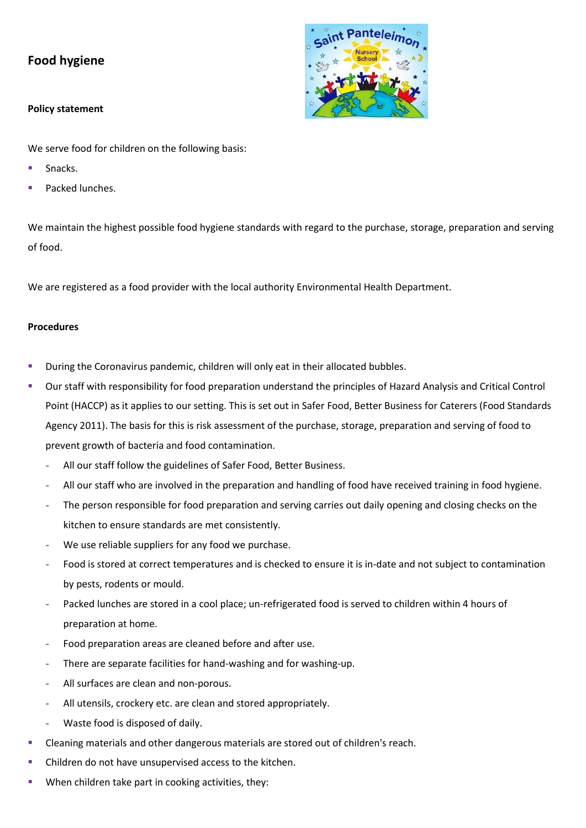# **Food hygiene**

### **Policy statement**

We serve food for children on the following basis:

- Snacks.
- Packed lunches.

We maintain the highest possible food hygiene standards with regard to the purchase, storage, preparation and serving of food.

We are registered as a food provider with the local authority Environmental Health Department.

## **Procedures**

- **•** During the Coronavirus pandemic, children will only eat in their allocated bubbles.
- Our staff with responsibility for food preparation understand the principles of Hazard Analysis and Critical Control Point (HACCP) as it applies to our setting. This is set out in Safer Food, Better Business for Caterers (Food Standards Agency 2011). The basis for this is risk assessment of the purchase, storage, preparation and serving of food to prevent growth of bacteria and food contamination.
	- **-** All our staff follow the guidelines of Safer Food, Better Business.
	- **-** All our staff who are involved in the preparation and handling of food have received training in food hygiene.
	- **-** The person responsible for food preparation and serving carries out daily opening and closing checks on the kitchen to ensure standards are met consistently.
	- **-** We use reliable suppliers for any food we purchase.
	- **-** Food is stored at correct temperatures and is checked to ensure it is in-date and not subject to contamination by pests, rodents or mould.
	- **-** Packed lunches are stored in a cool place; un-refrigerated food is served to children within 4 hours of preparation at home.
	- **-** Food preparation areas are cleaned before and after use.
	- **-** There are separate facilities for hand-washing and for washing-up.
	- **-** All surfaces are clean and non-porous.
	- **-** All utensils, crockery etc. are clean and stored appropriately.
	- **-** Waste food is disposed of daily.
- Cleaning materials and other dangerous materials are stored out of children's reach.
- Children do not have unsupervised access to the kitchen.
- When children take part in cooking activities, they: